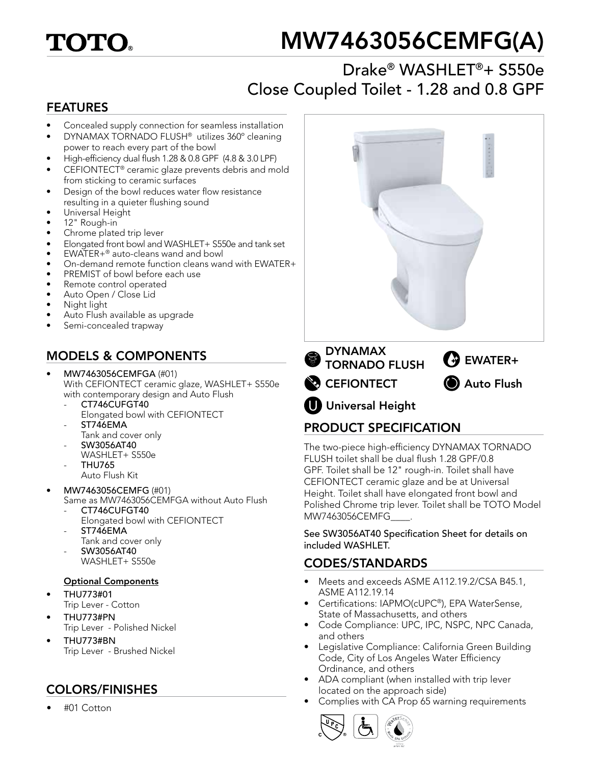# TOTO.

# MW7463056CEMFG(A)

# Drake® WASHLET®+ S550e Close Coupled Toilet - 1.28 and 0.8 GPF

### FEATURES

- Concealed supply connection for seamless installation
- DYNAMAX TORNADO FLUSH® utilizes 360º cleaning power to reach every part of the bowl
- High-efficiency dual flush 1.28 & 0.8 GPF (4.8 & 3.0 LPF)
- CEFIONTECT<sup>®</sup> ceramic glaze prevents debris and mold from sticking to ceramic surfaces
- Design of the bowl reduces water flow resistance resulting in a quieter flushing sound
- Universal Height
- 12" Rough-in
- Chrome plated trip lever
- Elongated front bowl and WASHLET+ S550e and tank set
- EWATER+® auto-cleans wand and bowl
- On-demand remote function cleans wand with EWATER+
- PREMIST of bowl before each use
- Remote control operated
- Auto Open / Close Lid
- Night light
- Auto Flush available as upgrade
- Semi-concealed trapway

# MODELS & COMPONENTS

- MW7463056CEMFGA (#01) With CEFIONTECT ceramic glaze, WASHLET+ S550e with contemporary design and Auto Flush
	- CT746CUFGT40
	- Elongated bowl with CEFIONTECT ST746EMA
	- Tank and cover only
	- SW3056AT40 WASHLET+ S550e
	- THU765 Auto Flush Kit
- MW7463056CEMFG (#01) Same as MW7463056CEMFGA without Auto Flush
	- CT746CUFGT40
	- Elongated bowl with CEFIONTECT
	- ST746EMA Tank and cover only
	- SW3056AT40
		- WASHLET+ S550e

#### Optional Components

- THU773#01
- Trip Lever Cotton
- THU773#PN Trip Lever - Polished Nickel
- THU773#BN Trip Lever - Brushed Nickel

# COLORS/FINISHES

• #01 Cotton



# PRODUCT SPECIFICATION

The two-piece high-efficiency DYNAMAX TORNADO FLUSH toilet shall be dual flush 1.28 GPF/0.8 GPF. Toilet shall be 12" rough-in. Toilet shall have CEFIONTECT ceramic glaze and be at Universal Height. Toilet shall have elongated front bowl and Polished Chrome trip lever. Toilet shall be TOTO Model MW7463056CEMFG\_\_\_\_.

See SW3056AT40 Specification Sheet for details on included WASHLET.

### CODES/STANDARDS

- Meets and exceeds ASME A112.19.2/CSA B45.1, ASME A112.19.14
- Certifications: IAPMO(cUPC®), EPA WaterSense, State of Massachusetts, and others
- Code Compliance: UPC, IPC, NSPC, NPC Canada, and others
- Legislative Compliance: California Green Building Code, City of Los Angeles Water Efficiency Ordinance, and others
- ADA compliant (when installed with trip lever located on the approach side)
- Complies with CA Prop 65 warning requirements